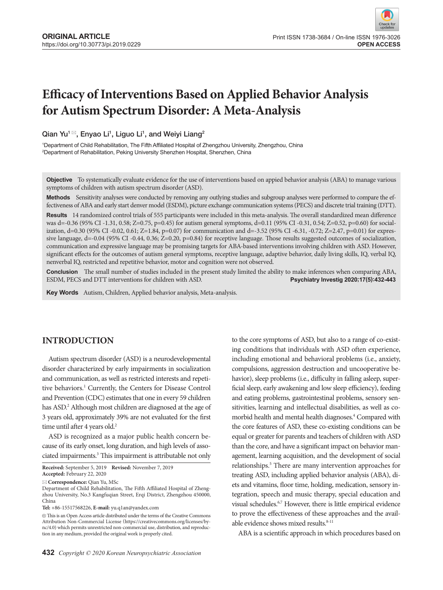# **Efficacy of Interventions Based on Applied Behavior Analysis for Autism Spectrum Disorder: A Meta-Analysis**

Qian Yu $^1$  $^{\boxtimes}$ , Enyao Li $^1$ , Liguo Li $^1$ , and Weiyi Liang $^2$ 

1 Department of Child Rehabilitation, The Fifth Affiliated Hospital of Zhengzhou University, Zhengzhou, China 2 Department of Rehabilitation, Peking University Shenzhen Hospital, Shenzhen, China

**Objective** To systematically evaluate evidence for the use of interventions based on appied behavior analysis (ABA) to manage various symptoms of children with autism spectrum disorder (ASD).

**Methods** Sensitivity analyses were conducted by removing any outlying studies and subgroup analyses were performed to compare the effectiveness of ABA and early start denver model (ESDM), picture exchange communication systems (PECS) and discrete trial training (DTT).

**Results** 14 randomized control trials of 555 participants were included in this meta-analysis. The overall standardized mean difference was d=-0.36 (95% CI-1.31, 0.58; Z=0.75, p=0.45) for autism general symptoms, d=0.11 (95% CI-0.31, 0.54; Z=0.52, p=0.60) for socialization, d=0.30 (95% CI -0.02, 0.61; Z=1.84, p=0.07) for communication and d=-3.52 (95% CI -6.31, -0.72; Z=2.47, p=0.01) for expressive language, d=-0.04 (95% CI -0.44, 0.36; Z=0.20, p=0.84) for receptive language. Those results suggested outcomes of socialization, communication and expressive language may be promising targets for ABA-based interventions involving children with ASD. However, significant effects for the outcomes of autism general symptoms, receptive language, adaptive behavior, daily living skills, IQ, verbal IQ, nenverbal IQ, restricted and repetitive behavior, motor and cognition were not observed.

**Conclusion** The small number of studies included in the present study limited the ability to make inferences when comparing ABA, ESDM, PECS and DTT interventions for children with ASD. **Property 1998-1998** Psychiatry Inve ESDM, PECS and DTT interventions for children with ASD.

**Key Words** Autism, Children, Applied behavior analysis, Meta-analysis.

# **INTRODUCTION**

Autism spectrum disorder (ASD) is a neurodevelopmental disorder characterized by early impairments in socialization and communication, as well as restricted interests and repetitive behaviors.<sup>1</sup> Currently, the Centers for Disease Control and Prevention (CDC) estimates that one in every 59 children has ASD.<sup>2</sup> Although most children are diagnosed at the age of 3 years old, approximately 39% are not evaluated for the first time until after 4 years old.<sup>2</sup>

ASD is recognized as a major public health concern because of its early onset, long duration, and high levels of associated impairments.<sup>3</sup> This impairment is attributable not only

**Correspondence:** Qian Yu, MSc

**Tel:** +86-15517568226, **E-mail:** yu.q1an@yandex.com

**432** *Copyright © 2020 Korean Neuropsychiatric Association*

to the core symptoms of ASD, but also to a range of co-existing conditions that individuals with ASD often experience, including emotional and behavioral problems (i.e., anxiety, compulsions, aggression destruction and uncooperative behavior), sleep problems (i.e., difficulty in falling asleep, superficial sleep, early awakening and low sleep efficiency), feeding and eating problems, gastrointestinal problems, sensory sensitivities, learning and intellectual disabilities, as well as comorbid health and mental health diagnoses.<sup>4</sup> Compared with the core features of ASD, these co-existing conditions can be equal or greater for parents and teachers of children with ASD than the core, and have a significant impact on behavior management, learning acquisition, and the development of social relationships.<sup>5</sup> There are many intervention approaches for treating ASD, including applied behavior analysis (ABA), diets and vitamins, floor time, holding, medication, sensory integration, speech and music therapy, special education and visual schedules.6,7 However, there is little empirical evidence to prove the effectiveness of these approaches and the available evidence shows mixed results.<sup>8-11</sup>

ABA is a scientific approach in which procedures based on

**Received:** September 5, 2019 **Revised:** November 7, 2019 **Accepted:** February 22, 2020

Department of Child Rehabilitation, The Fifth Affiliated Hospital of Zhengzhou University, No.3 Kangfuqian Street, Erqi District, Zhengzhou 450000, China

 $\circledR$  This is an Open Access article distributed under the terms of the Creative Commons Attribution Non-Commercial License (https://creativecommons.org/licenses/bync/4.0) which permits unrestricted non-commercial use, distribution, and reproduction in any medium, provided the original work is properly cited.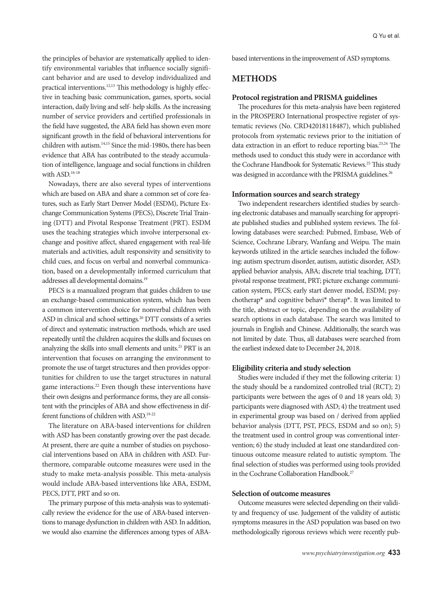the principles of behavior are systematically applied to identify environmental variables that influence socially significant behavior and are used to develop individualized and practical interventions.12,13 This methodology is highly effective in teaching basic communication, games, sports, social interaction, daily living and self- help skills. As the increasing number of service providers and certified professionals in the field have suggested, the ABA field has shown even more significant growth in the field of behavioral interventions for children with autism.14,15 Since the mid-1980s, there has been evidence that ABA has contributed to the steady accumulation of intelligence, language and social functions in children with ASD.16-18

Nowadays, there are also several types of interventions which are based on ABA and share a common set of core features, such as Early Start Denver Model (ESDM), Picture Exchange Communication Systems (PECS), Discrete Trial Training (DTT) and Pivotal Response Treatment (PRT). ESDM uses the teaching strategies which involve interpersonal exchange and positive affect, shared engagement with real-life materials and activities, adult responsivity and sensitivity to child cues, and focus on verbal and nonverbal communication, based on a developmentally informed curriculum that addresses all developmental domains.19

PECS is a manualized program that guides children to use an exchange-based communication system, which has been a common intervention choice for nonverbal children with ASD in clinical and school settings.20 DTT consists of a series of direct and systematic instruction methods, which are used repeatedly until the children acquires the skills and focuses on analyzing the skills into small elements and units.<sup>21</sup> PRT is an intervention that focuses on arranging the environment to promote the use of target structures and then provides opportunities for children to use the target structures in natural game interactions.<sup>22</sup> Even though these interventions have their own designs and performance forms, they are all consistent with the principles of ABA and show effectiveness in different functions of children with ASD.<sup>19-22</sup>

The literature on ABA-based interventions for children with ASD has been constantly growing over the past decade. At present, there are quite a number of studies on psychosocial interventions based on ABA in children with ASD. Furthermore, comparable outcome measures were used in the study to make meta-analysis possible. This meta-analysis would include ABA-based interventions like ABA, ESDM, PECS, DTT, PRT and so on.

The primary purpose of this meta-analysis was to systematically review the evidence for the use of ABA-based interventions to manage dysfunction in children with ASD. In addition, we would also examine the differences among types of ABA-

based interventions in the improvement of ASD symptoms.

## **METHODS**

#### **Protocol registration and PRISMA guidelines**

The procedures for this meta-analysis have been registered in the PROSPERO International prospective register of systematic reviews (No. CRD42018118487), which published protocols from systematic reviews prior to the initiation of data extraction in an effort to reduce reporting bias.23,24 The methods used to conduct this study were in accordance with the Cochrane Handbook for Systematic Reviews.<sup>25</sup> This study was designed in accordance with the PRISMA guidelines.<sup>26</sup>

#### **Information sources and search strategy**

Two independent researchers identified studies by searching electronic databases and manually searching for appropriate published studies and published system reviews. The following databases were searched: Pubmed, Embase, Web of Science, Cochrane Library, Wanfang and Weipu. The main keywords utilized in the article searches included the following: autism spectrum disorder, autism, autistic disorder, ASD; applied behavior analysis, ABA; discrete trial teaching, DTT; pivotal response treatment, PRT; picture exchange communication system, PECS; early start denver model, ESDM; psychotherap\* and cognitive behavi\* therap\*. It was limited to the title, abstract or topic, depending on the availability of search options in each database. The search was limited to journals in English and Chinese. Additionally, the search was not limited by date. Thus, all databases were searched from the earliest indexed date to December 24, 2018.

#### **Eligibility criteria and study selection**

Studies were included if they met the following criteria: 1) the study should be a randomized controlled trial (RCT); 2) participants were between the ages of 0 and 18 years old; 3) participants were diagnosed with ASD; 4) the treatment used in experimental group was based on / derived from applied behavior analysis (DTT, PST, PECS, ESDM and so on); 5) the treatment used in control group was conventional intervention; 6) the study included at least one standardized continuous outcome measure related to autistic symptom. The final selection of studies was performed using tools provided in the Cochrane Collaboration Handbook.<sup>27</sup>

## **Selection of outcome measures**

Outcome measures were selected depending on their validity and frequency of use. Judgement of the validity of autistic symptoms measures in the ASD population was based on two methodologically rigorous reviews which were recently pub-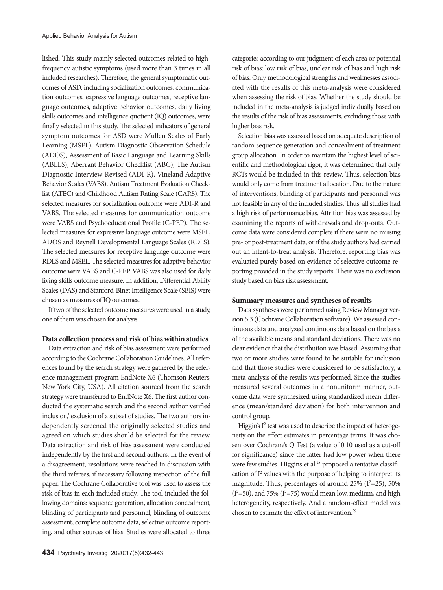lished. This study mainly selected outcomes related to highfrequency autistic symptoms (used more than 3 times in all included researches). Therefore, the general symptomatic outcomes of ASD, including socialization outcomes, communication outcomes, expressive language outcomes, receptive language outcomes, adaptive behavior outcomes, daily living skills outcomes and intelligence quotient (IQ) outcomes, were finally selected in this study. The selected indicators of general symptom outcomes for ASD were Mullen Scales of Early Learning (MSEL), Autism Diagnostic Observation Schedule (ADOS), Assessment of Basic Language and Learning Skills (ABLLS), Aberrant Behavior Checklist (ABC), The Autism Diagnostic Interview-Revised (ADI-R), Vineland Adaptive Behavior Scales (VABS), Autism Treatment Evaluation Checklist (ATEC) and Childhood Autism Rating Scale (CARS). The selected measures for socialization outcome were ADI-R and VABS. The selected measures for communication outcome were VABS and Psychoeducational Profile (C-PEP). The selected measures for expressive language outcome were MSEL, ADOS and Reynell Developmental Language Scales (RDLS). The selected measures for receptive language outcome were RDLS and MSEL. The selected measures for adaptive behavior outcome were VABS and C-PEP. VABS was also used for daily living skills outcome measure. In addition, Differential Ability Scales (DAS) and Stanford-Binet Intelligence Scale (SBIS) were chosen as measures of IQ outcomes.

If two of the selected outcome measures were used in a study, one of them was chosen for analysis.

#### **Data collection process and risk of bias within studies**

Data extraction and risk of bias assessment were performed according to the Cochrane Collaboration Guidelines. All references found by the search strategy were gathered by the reference management program EndNote X6 (Thomson Reuters, New York City, USA). All citation sourced from the search strategy were transferred to EndNote X6. The first author conducted the systematic search and the second author verified inclusion/ exclusion of a subset of studies. The two authors independently screened the originally selected studies and agreed on which studies should be selected for the review. Data extraction and risk of bias assessment were conducted independently by the first and second authors. In the event of a disagreement, resolutions were reached in discussion with the third referees, if necessary following inspection of the full paper. The Cochrane Collaborative tool was used to assess the risk of bias in each included study. The tool included the following domains: sequence generation, allocation concealment, blinding of participants and personnel, blinding of outcome assessment, complete outcome data, selective outcome reporting, and other sources of bias. Studies were allocated to three

categories according to our judgment of each area or potential risk of bias: low risk of bias, unclear risk of bias and high risk of bias. Only methodological strengths and weaknesses associated with the results of this meta-analysis were considered when assessing the risk of bias. Whether the study should be included in the meta-analysis is judged individually based on the results of the risk of bias assessments, excluding those with higher bias risk.

Selection bias was assessed based on adequate description of random sequence generation and concealment of treatment group allocation. In order to maintain the highest level of scientific and methodological rigor, it was determined that only RCTs would be included in this review. Thus, selection bias would only come from treatment allocation. Due to the nature of interventions, blinding of participants and personnel was not feasible in any of the included studies. Thus, all studies had a high risk of performance bias. Attrition bias was assessed by examining the reports of withdrawals and drop-outs. Outcome data were considered complete if there were no missing pre- or post-treatment data, or if the study authors had carried out an intent-to-treat analysis. Therefore, reporting bias was evaluated purely based on evidence of selective outcome reporting provided in the study reports. There was no exclusion study based on bias risk assessment.

#### **Summary measures and syntheses of results**

Data syntheses were performed using Review Manager version 5.3 (Cochrane Collaboration software). We assessed continuous data and analyzed continuous data based on the basis of the available means and standard deviations. There was no clear evidence that the distribution was biased. Assuming that two or more studies were found to be suitable for inclusion and that those studies were considered to be satisfactory, a meta-analysis of the results was performed. Since the studies measured several outcomes in a nonuniform manner, outcome data were synthesized using standardized mean difference (mean/standard deviation) for both intervention and control group.

Higgin's I<sup>2</sup> test was used to describe the impact of heterogeneity on the effect estimates in percentage terms. It was chosen over Cochrane's Q Test (a value of 0.10 used as a cut-off for significance) since the latter had low power when there were few studies. Higgins et al.<sup>28</sup> proposed a tentative classification of I<sup>2</sup> values with the purpose of helping to interpret its magnitude. Thus, percentages of around  $25\%$  ( $I^2=25$ ),  $50\%$  $(I<sup>2</sup>=50)$ , and 75%  $(I<sup>2</sup>=75)$  would mean low, medium, and high heterogeneity, respectively. And a random-effect model was chosen to estimate the effect of intervention.<sup>29</sup>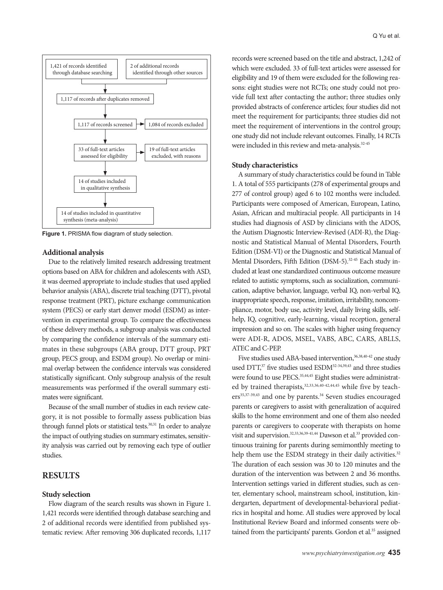

**Figure 1.** PRISMA flow diagram of study selection.

#### **Additional analysis**

Due to the relatively limited research addressing treatment options based on ABA for children and adolescents with ASD, it was deemed appropriate to include studies that used applied behavior analysis (ABA), discrete trial teaching (DTT), pivotal response treatment (PRT), picture exchange communication system (PECS) or early start denver model (ESDM) as intervention in experimental group. To compare the effectiveness of these delivery methods, a subgroup analysis was conducted by comparing the confidence intervals of the summary estimates in these subgroups (ABA group, DTT group, PRT group, PECS group, and ESDM group). No overlap or minimal overlap between the confidence intervals was considered statistically significant. Only subgroup analysis of the result measurements was performed if the overall summary estimates were significant.

Because of the small number of studies in each review category, it is not possible to formally assess publication bias through funnel plots or statistical tests.<sup>30,31</sup> In order to analyze the impact of outlying studies on summary estimates, sensitivity analysis was carried out by removing each type of outlier studies.

## **RESULTS**

#### **Study selection**

Flow diagram of the search results was shown in Figure 1. 1,421 records were identified through database searching and 2 of additional records were identified from published systematic review. After removing 306 duplicated records, 1,117 records were screened based on the title and abstract, 1,242 of which were excluded. 33 of full-text articles were assessed for eligibility and 19 of them were excluded for the following reasons: eight studies were not RCTs; one study could not provide full text after contacting the author; three studies only provided abstracts of conference articles; four studies did not meet the requirement for participants; three studies did not meet the requirement of interventions in the control group; one study did not include relevant outcomes. Finally, 14 RCTs were included in this review and meta-analysis.<sup>32-45</sup>

#### **Study characteristics**

A summary of study characteristics could be found in Table 1. A total of 555 participants (278 of experimental groups and 277 of control group) aged 6 to 102 months were included. Participants were composed of American, European, Latino, Asian, African and multiracial people. All participants in 14 studies had diagnosis of ASD by clinicians with the ADOS, the Autism Diagnostic Interview-Revised (ADI-R), the Diagnostic and Statistical Manual of Mental Disorders, Fourth Edition (DSM-VI) or the Diagnostic and Statistical Manual of Mental Disorders, Fifth Edition (DSM-5).<sup>32-45</sup> Each study included at least one standardized continuous outcome measure related to autistic symptoms, such as socialization, communication, adaptive behavior, language, verbal IQ, non-verbal IQ, inappropriate speech, response, imitation, irritability, noncompliance, motor, body use, activity level, daily living skills, selfhelp, IQ, cognitive, early-learning, visual reception, general impression and so on. The scales with higher using frequency were ADI-R, ADOS, MSEL, VABS, ABC, CARS, ABLLS, ATEC and C-PEP.

Five studies used ABA-based intervention, 36,38,40-42 one study used DTT,<sup>37</sup> five studies used ESDM<sup>32-34,39,43</sup> and three studies were found to use PECS.<sup>35,44,45</sup> Eight studies were administrated by trained therapists,<sup>32,33,36,40-42,44,45</sup> while five by teachers<sup>35,37-39,43</sup> and one by parents.<sup>34</sup> Seven studies encouraged parents or caregivers to assist with generalization of acquired skills to the home environment and one of them also needed parents or caregivers to cooperate with therapists on home visit and supervision.<sup>32,33,36,39-41,44</sup> Dawson et al.<sup>33</sup> provided continuous training for parents during semimonthly meeting to help them use the ESDM strategy in their daily activities.<sup>32</sup> The duration of each session was 30 to 120 minutes and the duration of the intervention was between 2 and 36 months. Intervention settings varied in different studies, such as center, elementary school, mainstream school, institution, kindergarten, department of developmental-behavioral pediatrics in hospital and home. All studies were approved by local Institutional Review Board and informed consents were obtained from the participants' parents. Gordon et al.<sup>35</sup> assigned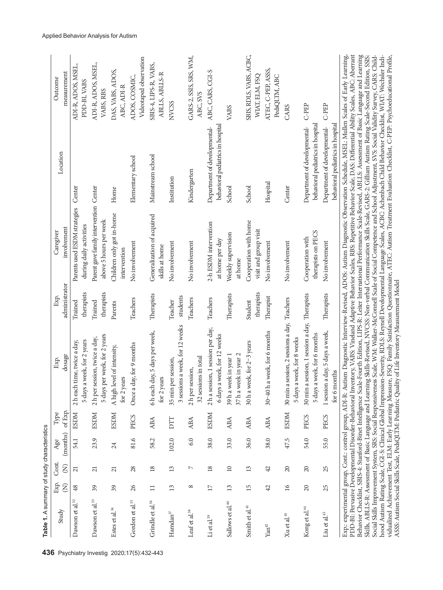|                              |                        |                        | Table 1. A summary of study characteristics |             |                                                                                                                                                                                                                                                                                                                                                                                                                                                                                                                                                                                                                                                                                                                                                                                                                                                                                                                                                                                                                                                                                                                                                                                                                                                                                                                                                                                                                                   |                       |                                                                  |                                                                   |                                           |
|------------------------------|------------------------|------------------------|---------------------------------------------|-------------|-----------------------------------------------------------------------------------------------------------------------------------------------------------------------------------------------------------------------------------------------------------------------------------------------------------------------------------------------------------------------------------------------------------------------------------------------------------------------------------------------------------------------------------------------------------------------------------------------------------------------------------------------------------------------------------------------------------------------------------------------------------------------------------------------------------------------------------------------------------------------------------------------------------------------------------------------------------------------------------------------------------------------------------------------------------------------------------------------------------------------------------------------------------------------------------------------------------------------------------------------------------------------------------------------------------------------------------------------------------------------------------------------------------------------------------|-----------------------|------------------------------------------------------------------|-------------------------------------------------------------------|-------------------------------------------|
| Study                        | Exp.                   | Cont.                  | Age                                         | Type        | Exp.                                                                                                                                                                                                                                                                                                                                                                                                                                                                                                                                                                                                                                                                                                                                                                                                                                                                                                                                                                                                                                                                                                                                                                                                                                                                                                                                                                                                                              | Exp.                  | Caregiver                                                        | Location                                                          | Outcome                                   |
|                              | $\widehat{\mathsf{g}}$ | $\widehat{\mathsf{S}}$ | (months)                                    | of Exp.     | dosage                                                                                                                                                                                                                                                                                                                                                                                                                                                                                                                                                                                                                                                                                                                                                                                                                                                                                                                                                                                                                                                                                                                                                                                                                                                                                                                                                                                                                            | administrator         | involvement                                                      |                                                                   | measurement                               |
| Dawson et al. <sup>32</sup>  | $\frac{48}{5}$         | $\overline{21}$        | 54.1                                        | <b>ESDM</b> | a week, for 2 years<br>2 h each time, twice a day,<br>5 days                                                                                                                                                                                                                                                                                                                                                                                                                                                                                                                                                                                                                                                                                                                                                                                                                                                                                                                                                                                                                                                                                                                                                                                                                                                                                                                                                                      | therapists<br>Trained | Parents used ESDM strategies<br>during daily activities          | Center                                                            | ADI-R, ADOS, MSEL,<br>PDD-BI, VABS        |
| Dawson et al. <sup>33</sup>  | $\sqrt{3}$             | $\overline{21}$        | 23.9                                        | <b>ESDM</b> | 5 days per week, for 2 years<br>session, twice a day,<br>2h per                                                                                                                                                                                                                                                                                                                                                                                                                                                                                                                                                                                                                                                                                                                                                                                                                                                                                                                                                                                                                                                                                                                                                                                                                                                                                                                                                                   | therapists<br>Trained | Parent gave family intervention Center<br>above 5 hours per week |                                                                   | ADI-R, ADOS, MSEL,<br>VABS, RBS           |
| Estes et al. <sup>34</sup>   | 39                     | $\overline{21}$        | 24                                          | <b>ESDM</b> | A high level of intensity,<br>for 2 years                                                                                                                                                                                                                                                                                                                                                                                                                                                                                                                                                                                                                                                                                                                                                                                                                                                                                                                                                                                                                                                                                                                                                                                                                                                                                                                                                                                         | Parents               | Children only got in-home<br>intervention                        | Home                                                              | DAS, VABS, ADOS,<br>ABC, ADI-R            |
| Gordon et al. <sup>35</sup>  | 26                     | 28                     | 81.6                                        | PECS        | Once a day, for 9 months                                                                                                                                                                                                                                                                                                                                                                                                                                                                                                                                                                                                                                                                                                                                                                                                                                                                                                                                                                                                                                                                                                                                                                                                                                                                                                                                                                                                          | Teachers              | No involvement                                                   | Elementary school                                                 | Videotaped observation<br>ADOS, COSMIC,   |
| Grindle et al. <sup>36</sup> | $\Box$                 | 18                     | 58.2                                        | <b>ABA</b>  | 6 h each day, 5 days per week,<br>for 2 years                                                                                                                                                                                                                                                                                                                                                                                                                                                                                                                                                                                                                                                                                                                                                                                                                                                                                                                                                                                                                                                                                                                                                                                                                                                                                                                                                                                     | Therapists            | Generalization of acquired<br>skills at home                     | Mainstream school                                                 | SBIS-4, LIPS-R, VABS,<br>ABLLS, ABLLS-R   |
| Hamdan $^{37}$               | 13                     | 13                     | 102.0                                       | DTT         | 3 sessions a week, for 12 weeks<br>35 min per session,                                                                                                                                                                                                                                                                                                                                                                                                                                                                                                                                                                                                                                                                                                                                                                                                                                                                                                                                                                                                                                                                                                                                                                                                                                                                                                                                                                            | students<br>Teacher   | No involvement                                                   | Institution                                                       | <b>NVCSS</b>                              |
| Leaf et al. <sup>38</sup>    | $^{\circ}$             | N                      | 6.0                                         | <b>ABA</b>  | 32 sessions in total<br>2 h per session,                                                                                                                                                                                                                                                                                                                                                                                                                                                                                                                                                                                                                                                                                                                                                                                                                                                                                                                                                                                                                                                                                                                                                                                                                                                                                                                                                                                          | Teachers              | No involvement                                                   | Kindergarten                                                      | GARS-2, SSIS, SRS, WM,<br>ABC, SVS        |
| Li et al. <sup>39</sup>      | $\overline{17}$        | 18                     | 38.0                                        | <b>RSDM</b> | 2 h a session, 1 session per day,<br>6 days a week, for 12 weeks                                                                                                                                                                                                                                                                                                                                                                                                                                                                                                                                                                                                                                                                                                                                                                                                                                                                                                                                                                                                                                                                                                                                                                                                                                                                                                                                                                  | Teachers              | 2-h ESDM intervention<br>at home per day                         | behavioral pediatrics in hospital<br>Department of developmental- | ABC, CARS, CGI-S                          |
| Sallows et al. <sup>40</sup> | $\overline{13}$        | $\supseteq$            | 33.0                                        | ABA         | 37 h a week in year 2<br>39 h a week in year 1                                                                                                                                                                                                                                                                                                                                                                                                                                                                                                                                                                                                                                                                                                                                                                                                                                                                                                                                                                                                                                                                                                                                                                                                                                                                                                                                                                                    | Therapists            | Weekly supervision<br>at home                                    | School                                                            | VABS                                      |
| Smith et al. <sup>41</sup>   | $\overline{15}$        | 13                     | 36.0                                        | <b>ABA</b>  | 30 h a week, for 2-3 years                                                                                                                                                                                                                                                                                                                                                                                                                                                                                                                                                                                                                                                                                                                                                                                                                                                                                                                                                                                                                                                                                                                                                                                                                                                                                                                                                                                                        | therapists<br>Student | Cooperation with home<br>visit and group visit                   | School                                                            | SBIS, RDLS, VABS, ACBC,<br>WIAT, ELM, FSQ |
| $\mathbf{Yan}^{42}$          | 42                     | 42                     | 38.0                                        | <b>ABA</b>  | 30-40 h a week, for 6 months                                                                                                                                                                                                                                                                                                                                                                                                                                                                                                                                                                                                                                                                                                                                                                                                                                                                                                                                                                                                                                                                                                                                                                                                                                                                                                                                                                                                      | Therapist             | No involvement                                                   | Hospital                                                          | ATEC, C-PEP, ASSS,<br>PedsQLTM, ABC       |
| Xu et al. <sup>43</sup>      | $\tilde{16}$           | $\overline{c}$         | 47.5                                        | <b>RSDM</b> | a session, 2 sessions a day, Teachers<br>5 days a week, for 8 weeks<br>$30$ min                                                                                                                                                                                                                                                                                                                                                                                                                                                                                                                                                                                                                                                                                                                                                                                                                                                                                                                                                                                                                                                                                                                                                                                                                                                                                                                                                   |                       | No involvement                                                   | Center                                                            | CARS                                      |
| Kong et al. <sup>44</sup>    | $\Omega$               | $\Omega$               | 54.0                                        | PECS        | a session, 1 session a day, Therapists<br>a week, for 6 months<br>$30 \text{ min}$<br>5 days                                                                                                                                                                                                                                                                                                                                                                                                                                                                                                                                                                                                                                                                                                                                                                                                                                                                                                                                                                                                                                                                                                                                                                                                                                                                                                                                      |                       | therapists on PECS<br>Cooperation with                           | behavioral pediatrics in hospital<br>Department of developmental- | C-PEP                                     |
| Liu et al. <sup>45</sup>     | 25                     | 25                     | 55.0                                        | PECS        | 1 session a day, 5 days a week,<br>for 6 months                                                                                                                                                                                                                                                                                                                                                                                                                                                                                                                                                                                                                                                                                                                                                                                                                                                                                                                                                                                                                                                                                                                                                                                                                                                                                                                                                                                   | Therapists            | No involvement                                                   | behavioral pediatrics in hospital<br>Department of developmental- | C-PEP                                     |
|                              |                        |                        |                                             |             | PDD-BI: Pervasive Developmental Disorder-Behavioral Inventory, VABS: Vineland Adaptive Behavior Scales, RBS: Repetitive Behavior Scale, DAS: Differential Ability Scales, ABC: Aberrant<br>Exp.: experimental group, Cont.: control group, ADI-R: Autism Diagnostic Interview-Revised, ADOS: Autism Diagnostic Observation Schedule, MSEL: Mullen Scales of Early Learning,<br>Social Skills Improvement System, SRS: Social Responsiveness Scale, WM: Walker-McConnell Scale of Social Competence and School Adjustment, SVS: Social Validity Survey, CARS: Child-<br>Behavior Checklist, SBIS-4: Stanford-Binet Intelligence Scale-Fourth Edition, LIPS-R: Leiter International Performance Scale-Revised, ABLLS: Assessment of Basic Language and Learning<br>Skills, ABLLS-R: Assessment of Basic Language and Learning Skills-Revised, NVCSS: Non-verbal Communication Skills Scale, GARS-2: Gilliam Autism Rating Scale-Second Edition, SSIS:<br>hood Autism Rating Scale, CGI-S: Clinical Global Impression-Severity, RDLS: Reynell Developmental Language Scales, ACBC: Achenbach Child Behavior Checklist, WIAT: Wechsler Indi-<br>vidualized Achievement Test, ELM: Early Learning Measure, FSQ: Family Satisfaction Questionnaire, ATEC: Autism Treatment Evaluation Checklist, C-PEP: Psychoeducational Profile,<br>ASSS: Autism Social Skills Scale, PedsQLTM: Pediatric Quality of Life Inventory Measurement Model |                       |                                                                  |                                                                   |                                           |

**436** Psychiatry Investig 2020 ;17 ( 5):432-443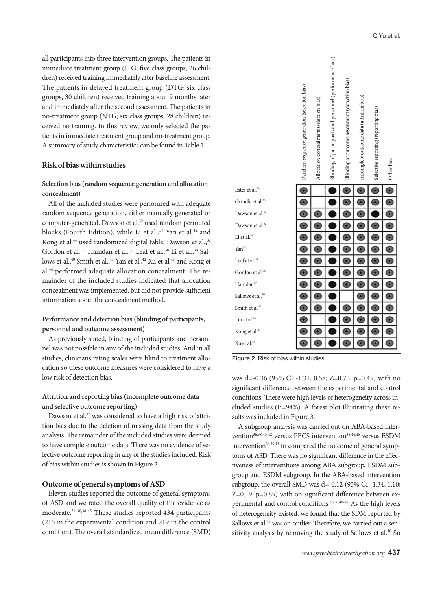all participants into three intervention groups. The patients in immediate treatment group (ITG; five class groups, 26 children) received training immediately after baseline assessment. The patients in delayed treatment group (DTG; six class groups, 30 children) received training about 9 months later and immediately after the second assessment. The patients in no-treatment group (NTG; six class groups, 28 children) received no training. In this review, we only selected the patients in immediate treatment group and no-treatment group. A summary of study characteristics can be found in Table 1.

#### **Risk of bias within studies**

## **Selection bias (random sequence generation and allocation concealment)**

All of the included studies were performed with adequate random sequence generation, either manually generated or computer-generated. Dawson et al.<sup>32</sup> used random permuted blocks (Fourth Edition), while Li et al.,<sup>39</sup> Yan et al.<sup>42</sup> and Kong et al.<sup>44</sup> used randomized digital table. Dawson et al.,<sup>32</sup> Gordon et al.,<sup>35</sup> Hamdan et al.,<sup>37</sup> Leaf et al.,<sup>38</sup> Li et al.,<sup>39</sup> Sallows et al.,<sup>40</sup> Smith et al.,<sup>41</sup> Yan et al.,<sup>42</sup> Xu et al.<sup>43</sup> and Kong et al.44 performed adequate allocation concealment. The remainder of the included studies indicated that allocation concealment was implemented, but did not provide sufficient information about the concealment method.

## **Performance and detection bias (blinding of participants, personnel and outcome assessment)**

As previously stated, blinding of participants and personnel was not possible in any of the included studies. And in all studies, clinicians rating scales were blind to treatment allocation so these outcome measures were considered to have a low risk of detection bias.

## **Attrition and reporting bias (incomplete outcome data and selective outcome reporting)**

Dawson et al.<sup>32</sup> was considered to have a high risk of attrition bias due to the deletion of missing data from the study analysis. The remainder of the included studies were deemed to have complete outcome data. There was no evidence of selective outcome reporting in any of the studies included. Risk of bias within studies is shown in Figure 2.

#### **Outcome of general symptoms of ASD**

Eleven studies reported the outcome of general symptoms of ASD and we rated the overall quality of the evidence as moderate.34-36,38-45 These studies reported 434 participants (215 in the experimental condition and 219 in the control condition). The overall standardized mean difference (SMD)



**Figure 2.** Risk of bias within studies.

was d=-0.36 (95% CI -1.31, 0.58; Z=0.75, p=0.45) with no significant difference between the experimental and control conditions. There were high levels of heterogeneity across included studies ( $I^2$ =94%). A forest plot illustrating these results was included in Figure 3.

A subgroup analysis was carried out on ABA-based intervention<sup>36,38,40-42</sup> versus PECS intervention<sup>35,44,45</sup> versus ESDM intervention<sup>34,39,43</sup> to compared the outcome of general symptoms of ASD. There was no significant difference in the effectiveness of interventions among ABA subgroup, ESDM subgroup and ESDM subgroup. In the ABA-based intervention subgroup, the overall SMD was d=-0.12 (95% CI -1.34, 1.10; Z=0.19, p=0.85) with on significant difference between experimental and control conditions.<sup>36,38,40-42</sup> As the high levels of heterogeneity existed, we found that the SDM reported by Sallows et al.<sup>40</sup> was an outlier. Therefore, we carried out a sensitivity analysis by removing the study of Sallows et al.<sup>40</sup> So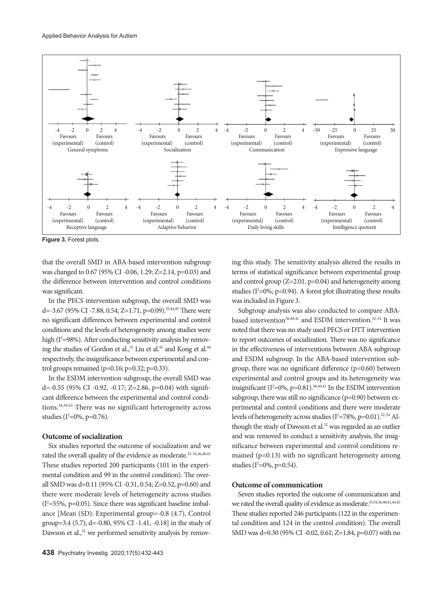

**Figure 3.** Forest plots.

that the overall SMD in ABA-based intervention subgroup was changed to 0.67 (95% CI -0.06, 1.29; Z=2.14, p=0.03) and the difference between intervention and control conditions was significant.

In the PECS intervention subgroup, the overall SMD was d=-3.67 (95% CI -7.88, 0.54; Z=1.71, p=0.09).<sup>35,44,45</sup> There were no significant differences between experimental and control conditions and the levels of heterogeneity among studies were high ( $I^2$ =98%). After conducting sensitivity analysis by removing the studies of Gordon et al.,<sup>35</sup> Liu et al.<sup>45</sup> and Kong et al.<sup>44</sup> respectively, the insignificance between experimental and control groups remained (p=0.16; p=0.32; p=0.33).

In the ESDM intervention subgroup, the overall SMD was d=-0.55 (95% CI -0.92, -0.17; Z=2.86, p=0.04) with significant difference between the experimental and control conditions.34,39,43 There was no significant heterogeneity across studies (I<sup>2</sup>=0%, p=0.76).

#### **Outcome of socialization**

Six studies reported the outcome of socialization and we rated the overall quality of the evidence as moderate.<sup>32-34,36,40,41</sup> These studies reported 200 participants (101 in the experimental condition and 99 in the control condition). The overall SMD was d=0.11 (95% CI -0.31, 0.54; Z=0.52, p=0.60) and there were moderate levels of heterogeneity across studies  $(I<sup>2</sup>=55%, p=0.05)$ . Since there was significant baseline imbalance [Mean (SD): Experimental group=-0.8 (4.7), Control group=3.4 (5.7); d=-0.80, 95% CI -1.41, -0.18] in the study of Dawson et al.,<sup>32</sup> we performed sensitivity analysis by removing this study. The sensitivity analysis altered the results in terms of statistical significance between experimental group and control group (Z=2.01, p=0.04) and heterogeneity among studies ( $I^2$ =0%, p=0.94). A forest plot illustrating these results was included in Figure 3.

Subgroup analysis was also conducted to compare ABAbased intervention<sup>36,40,41</sup> and ESDM intervention.<sup>32-34</sup> It was noted that there was no study used PECS or DTT intervention to report outcomes of socialization. There was no significance in the effectiveness of interventions between ABA subgroup and ESDM subgroup. In the ABA-based intervention subgroup, there was no significant difference (p=0.60) between experimental and control groups and its heterogeneity was insignificant  $(I^2=0\%, p=0.81).$ <sup>36,40,41</sup> In the ESDM intervention subgroup, there was still no significance (p=0.90) between experimental and control conditions and there were moderate levels of heterogeneity across studies ( $I^2$ =78%, p=0.01).<sup>32-34</sup> Although the study of Dawson et al.<sup>32</sup> was regarded as an outlier and was removed to conduct a sensitivity analysis, the insignificance between experimental and control conditions remained (p=0.13) with no significant heterogeneity among studies (I<sup>2</sup>=0%, p=0.54).

## **Outcome of communication**

Seven studies reported the outcome of communication and we rated the overall quality of evidence as moderate.<sup>33,34,36,40,41,44,45</sup> These studies reported 246 participants (122 in the experimental condition and 124 in the control condition). The overall SMD was d=0.30 (95% CI -0.02, 0.61; Z=1.84, p=0.07) with no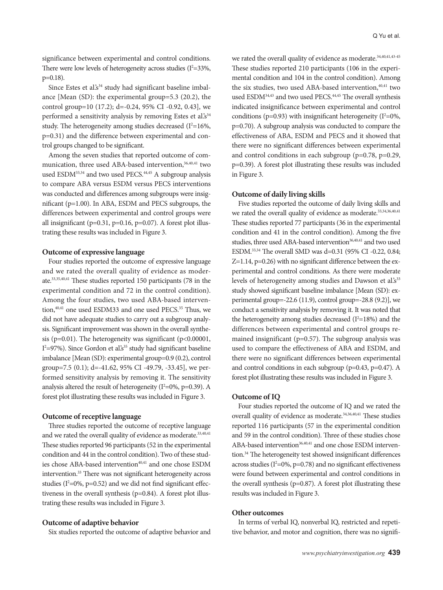significance between experimental and control conditions. There were low levels of heterogeneity across studies  $(I^2=33\%,$ p=0.18).

Since Estes et al.'s<sup>34</sup> study had significant baseline imbalance [Mean (SD): the experimental group=5.3 (20.2), the control group=10 (17.2); d=-0.24, 95% CI -0.92, 0.43], we performed a sensitivity analysis by removing Estes et al.'s<sup>34</sup> study. The heterogeneity among studies decreased  $(I^2=16\%,$ p=0.31) and the difference between experimental and control groups changed to be significant.

Among the seven studies that reported outcome of communication, three used ABA-based intervention,<sup>36,40,41</sup> two used ESDM33,34 and two used PECS.44,45 A subgroup analysis to compare ABA versus ESDM versus PECS interventions was conducted and differences among subgroups were insignificant (p=1.00). In ABA, ESDM and PECS subgroups, the differences between experimental and control groups were all insignificant ( $p=0.31$ ,  $p=0.16$ ,  $p=0.07$ ). A forest plot illustrating these results was included in Figure 3.

## **Outcome of expressive language**

Four studies reported the outcome of expressive language and we rated the overall quality of evidence as moderate.33,35,40,41 These studies reported 150 participants (78 in the experimental condition and 72 in the control condition). Among the four studies, two used ABA-based intervention,<sup>40,41</sup> one used ESDM33 and one used PECS.<sup>35</sup> Thus, we did not have adequate studies to carry out a subgroup analysis. Significant improvement was shown in the overall synthesis (p=0.01). The heterogeneity was significant (p<0.00001, I<sup>2</sup>=97%). Since Gordon et al.<sup>335</sup> study had significant baseline imbalance [Mean (SD): experimental group=0.9 (0.2), control group=7.5  $(0.1)$ ; d=-41.62, 95% CI -49.79, -33.45], we performed sensitivity analysis by removing it. The sensitivity analysis altered the result of heterogeneity ( $I^2$ =0%, p=0.39). A forest plot illustrating these results was included in Figure 3.

## **Outcome of receptive language**

Three studies reported the outcome of receptive language and we rated the overall quality of evidence as moderate.<sup>33,40,41</sup> These studies reported 96 participants (52 in the experimental condition and 44 in the control condition). Two of these studies chose ABA-based intervention<sup>40,41</sup> and one chose ESDM intervention.33 There was not significant heterogeneity across studies ( $I^2$ =0%, p=0.52) and we did not find significant effectiveness in the overall synthesis (p=0.84). A forest plot illustrating these results was included in Figure 3.

#### **Outcome of adaptive behavior**

Six studies reported the outcome of adaptive behavior and

we rated the overall quality of evidence as moderate.<sup>34,40,41,43-45</sup> These studies reported 210 participants (106 in the experimental condition and 104 in the control condition). Among the six studies, two used ABA-based intervention,<sup>40,41</sup> two used ESDM<sup>34,43</sup> and two used PECS.<sup>44,45</sup> The overall synthesis indicated insignificance between experimental and control conditions ( $p=0.93$ ) with insignificant heterogeneity ( $I^2=0\%$ , p=0.70). A subgroup analysis was conducted to compare the effectiveness of ABA, ESDM and PECS and it showed that there were no significant differences between experimental and control conditions in each subgroup (p=0.78, p=0.29, p=0.39). A forest plot illustrating these results was included in Figure 3.

#### **Outcome of daily living skills**

Five studies reported the outcome of daily living skills and we rated the overall quality of evidence as moderate.<sup>33,34,36,40,41</sup> These studies reported 77 participants (36 in the experimental condition and 41 in the control condition). Among the five studies, three used ABA-based intervention<sup>36,40,41</sup> and two used ESDM.33,34 The overall SMD was d=0.31 (95% CI -0.22, 0.84; Z=1.14, p=0.26) with no significant difference between the experimental and control conditions. As there were moderate levels of heterogeneity among studies and Dawson et al.'s<sup>33</sup> study showed significant baseline imbalance [Mean (SD): experimental group=-22.6 (11.9), control group=-28.8 (9.2)], we conduct a sensitivity analysis by removing it. It was noted that the heterogeneity among studies decreased  $(I^2=18%)$  and the differences between experimental and control groups remained insignificant (p=0.57). The subgroup analysis was used to compare the effectiveness of ABA and ESDM, and there were no significant differences between experimental and control conditions in each subgroup (p=0.43, p=0.47). A forest plot illustrating these results was included in Figure 3.

#### **Outcome of IQ**

Four studies reported the outcome of IQ and we rated the overall quality of evidence as moderate.<sup>34,36,40,41</sup> These studies reported 116 participants (57 in the experimental condition and 59 in the control condition). Three of these studies chose ABA-based intervention<sup>36,40,41</sup> and one chose ESDM intervention.<sup>34</sup> The heterogeneity test showed insignificant differences across studies ( $I^2$ =0%, p=0.78) and no significant effectiveness were found between experimental and control conditions in the overall synthesis ( $p=0.87$ ). A forest plot illustrating these results was included in Figure 3.

#### **Other outcomes**

In terms of verbal IQ, nonverbal IQ, restricted and repetitive behavior, and motor and cognition, there was no signifi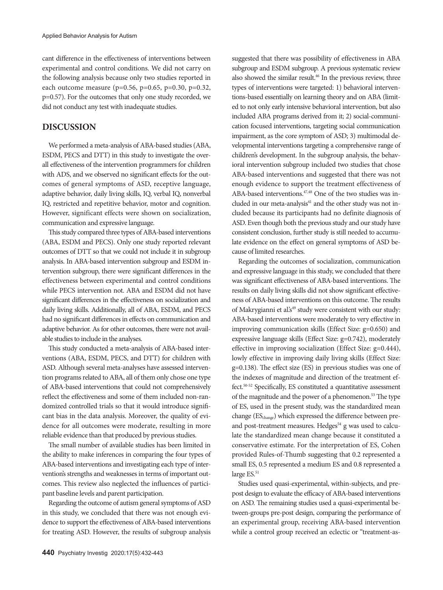cant difference in the effectiveness of interventions between experimental and control conditions. We did not carry on the following analysis because only two studies reported in each outcome measure ( $p=0.56$ ,  $p=0.65$ ,  $p=0.30$ ,  $p=0.32$ , p=0.57). For the outcomes that only one study recorded, we did not conduct any test with inadequate studies.

## **DISCUSSION**

We performed a meta-analysis of ABA-based studies (ABA, ESDM, PECS and DTT) in this study to investigate the overall effectiveness of the intervention programmers for children with ADS, and we observed no significant effects for the outcomes of general symptoms of ASD, receptive language, adaptive behavior, daily living skills, IQ, verbal IQ, nonverbal IQ, restricted and repetitive behavior, motor and cognition. However, significant effects were shown on socialization, communication and expressive language.

This study compared three types of ABA-based interventions (ABA, ESDM and PECS). Only one study reported relevant outcomes of DTT so that we could not include it in subgroup analysis. In ABA-based intervention subgroup and ESDM intervention subgroup, there were significant differences in the effectiveness between experimental and control conditions while PECS intervention not. ABA and ESDM did not have significant differences in the effectiveness on socialization and daily living skills. Additionally, all of ABA, ESDM, and PECS had no significant differences in effects on communication and adaptive behavior. As for other outcomes, there were not available studies to include in the analyses.

This study conducted a meta-analysis of ABA-based interventions (ABA, ESDM, PECS, and DTT) for children with ASD. Although several meta-analyses have assessed intervention programs related to ABA, all of them only chose one type of ABA-based interventions that could not comprehensively reflect the effectiveness and some of them included non-randomized controlled trials so that it would introduce significant bias in the data analysis. Moreover, the quality of evidence for all outcomes were moderate, resulting in more reliable evidence than that produced by previous studies.

The small number of available studies has been limited in the ability to make inferences in comparing the four types of ABA-based interventions and investigating each type of intervention's strengths and weaknesses in terms of important outcomes. This review also neglected the influences of participant baseline levels and parent participation.

Regarding the outcome of autism general symptoms of ASD in this study, we concluded that there was not enough evidence to support the effectiveness of ABA-based interventions for treating ASD. However, the results of subgroup analysis suggested that there was possibility of effectiveness in ABA subgroup and ESDM subgroup. A previous systematic review also showed the similar result.46 In the previous review, three types of interventions were targeted: 1) behavioral interventions-based essentially on learning theory and on ABA (limited to not only early intensive behavioral intervention, but also included ABA programs derived from it; 2) social-communication focused interventions, targeting social communication impairment, as the core symptom of ASD; 3) multimodal developmental interventions targeting a comprehensive range of children's development. In the subgroup analysis, the behavioral intervention subgroup included two studies that chose ABA-based interventions and suggested that there was not enough evidence to support the treatment effectiveness of ABA-based interventions.47,48 One of the two studies was included in our meta-analysis<sup>41</sup> and the other study was not included because its participants had no definite diagnosis of ASD. Even though both the previous study and our study have consistent conclusion, further study is still needed to accumulate evidence on the effect on general symptoms of ASD because of limited researches.

Regarding the outcomes of socialization, communication and expressive language in this study, we concluded that there was significant effectiveness of ABA-based interventions. The results on daily living skills did not show significant effectiveness of ABA-based interventions on this outcome. The results of Makrygianni et al's<sup>49</sup> study were consistent with our study: ABA-based interventions were moderately to very effective in improving communication skills (Effect Size: g=0.650) and expressive language skills (Effect Size: g=0.742), moderately effective in improving socialization (Effect Size: g=0.444), lowly effective in improving daily living skills (Effect Size: g=0.138). The effect size (ES) in previous studies was one of the indexes of magnitude and direction of the treatment effect.50-52 Specifically, ES constituted a quantitative assessment of the magnitude and the power of a phenomenon.<sup>53</sup> The type of ES, used in the present study, was the standardized mean change (ES<sub>change</sub>) which expressed the difference between preand post-treatment measures. Hedges<sup>54</sup> g was used to calculate the standardized mean change because it constituted a conservative estimate. For the interpretation of ES, Cohen provided Rules-of-Thumb suggesting that 0.2 represented a small ES, 0.5 represented a medium ES and 0.8 represented a large ES.<sup>51</sup>

Studies used quasi-experimental, within-subjects, and prepost design to evaluate the efficacy of ABA-based interventions on ASD. The remaining studies used a quasi-experimental between-groups pre-post design, comparing the performance of an experimental group, receiving ABA-based intervention while a control group received an eclectic or "treatment-as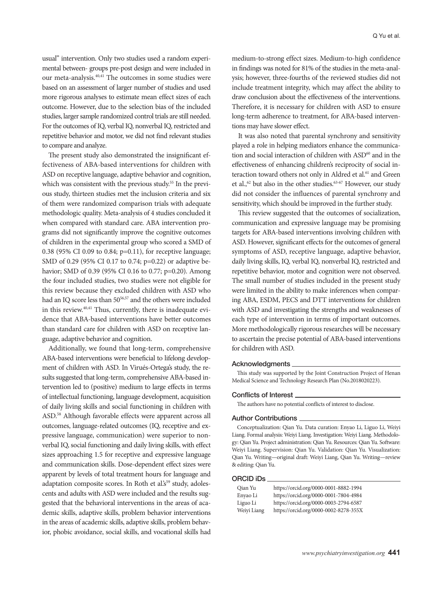usual" intervention. Only two studies used a random experimental between- groups pre-post design and were included in our meta-analysis.40,41 The outcomes in some studies were based on an assessment of larger number of studies and used more rigorous analyses to estimate mean effect sizes of each outcome. However, due to the selection bias of the included studies, larger sample randomized control trials are still needed. For the outcomes of IQ, verbal IQ, nonverbal IQ, restricted and repetitive behavior and motor, we did not find relevant studies to compare and analyze.

The present study also demonstrated the insignificant effectiveness of ABA-based interventions for children with ASD on receptive language, adaptive behavior and cognition, which was consistent with the previous study.<sup>55</sup> In the previous study, thirteen studies met the inclusion criteria and six of them were randomized comparison trials with adequate methodologic quality. Meta-analysis of 4 studies concluded it when compared with standard care. ABA intervention programs did not significantly improve the cognitive outcomes of children in the experimental group who scored a SMD of 0.38 (95% CI 0.09 to 0.84; p=0.11), for receptive language; SMD of 0.29 (95% CI 0.17 to 0.74; p=0.22) or adaptive behavior; SMD of 0.39 (95% CI 0.16 to 0.77; p=0.20). Among the four included studies, two studies were not eligible for this review because they excluded children with ASD who had an IQ score less than 50<sup>56,57</sup> and the others were included in this review.<sup>40,41</sup> Thus, currently, there is inadequate evidence that ABA-based interventions have better outcomes than standard care for children with ASD on receptive language, adaptive behavior and cognition.

Additionally, we found that long-term, comprehensive ABA-based interventions were beneficial to lifelong development of children with ASD. In Virués-Ortega's study, the results suggested that long-term, comprehensive ABA-based intervention led to (positive) medium to large effects in terms of intellectual functioning, language development, acquisition of daily living skills and social functioning in children with ASD.58 Although favorable effects were apparent across all outcomes, language-related outcomes (IQ, receptive and expressive language, communication) were superior to nonverbal IQ, social functioning and daily living skills, with effect sizes approaching 1.5 for receptive and expressive language and communication skills. Dose-dependent effect sizes were apparent by levels of total treatment hours for language and adaptation composite scores. In Roth et al. $s<sup>59</sup>$  study, adolescents and adults with ASD were included and the results suggested that the behavioral interventions in the areas of academic skills, adaptive skills, problem behavior interventions in the areas of academic skills, adaptive skills, problem behavior, phobic avoidance, social skills, and vocational skills had medium-to-strong effect sizes. Medium-to-high confidence in findings was noted for 81% of the studies in the meta-analysis; however, three-fourths of the reviewed studies did not include treatment integrity, which may affect the ability to draw conclusion about the effectiveness of the interventions. Therefore, it is necessary for children with ASD to ensure long-term adherence to treatment, for ABA-based interventions may have slower effect.

It was also noted that parental synchrony and sensitivity played a role in helping mediators enhance the communication and social interaction of children with ASD<sup>60</sup> and in the effectiveness of enhancing children's reciprocity of social interaction toward others not only in Aldred et al.<sup>61</sup> and Green et al.,<sup>62</sup> but also in the other studies.<sup>63-67</sup> However, our study did not consider the influences of parental synchrony and sensitivity, which should be improved in the further study.

This review suggested that the outcomes of socialization, communication and expressive language may be promising targets for ABA-based interventions involving children with ASD. However, significant effects for the outcomes of general symptoms of ASD, receptive language, adaptive behavior, daily living skills, IQ, verbal IQ, nonverbal IQ, restricted and repetitive behavior, motor and cognition were not observed. The small number of studies included in the present study were limited in the ability to make inferences when comparing ABA, ESDM, PECS and DTT interventions for children with ASD and investigating the strengths and weaknesses of each type of intervention in terms of important outcomes. More methodologically rigorous researches will be necessary to ascertain the precise potential of ABA-based interventions for children with ASD.

#### Acknowledgments

This study was supported by the Joint Construction Project of Henan Medical Science and Technology Research Plan (No.2018020223).

#### Conflicts of Interest

The authors have no potential conflicts of interest to disclose.

#### Author Contributions

Conceptualization: Qian Yu. Data curation: Enyao Li, Liguo Li, Weiyi Liang. Formal analysis: Weiyi Liang. Investigation: Weiyi Liang. Methodology: Qian Yu. Project administration: Qian Yu. Resources: Qian Yu. Software: Weiyi Liang. Supervision: Qian Yu. Validation: Qian Yu. Visualization: Qian Yu. Writing—original draft: Weiyi Liang, Qian Yu. Writing—review & editing: Qian Yu.

#### ORCID iDs

| Qian Yu     | https://orcid.org/0000-0001-8882-1994 |
|-------------|---------------------------------------|
| Enyao Li    | https://orcid.org/0000-0001-7804-4984 |
| Liguo Li    | https://orcid.org/0000-0003-2794-6587 |
| Weiyi Liang | https://orcid.org/0000-0002-8278-355X |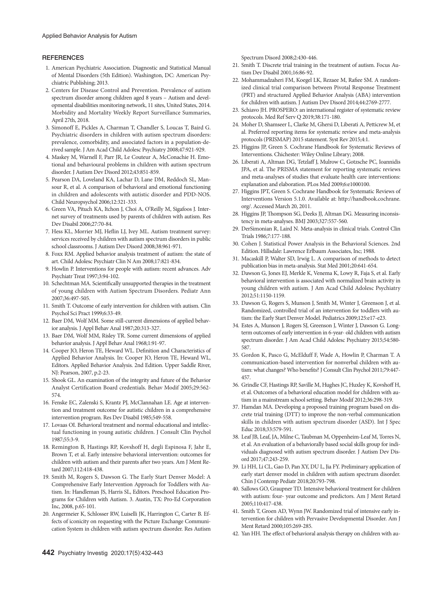#### **REFERENCES**

- 1. American Psychiatric Association. Diagnostic and Statistical Manual of Mental Disorders (5th Edition). Washington, DC: American Psychiatric Publishing; 2013.
- 2. Centers for Disease Control and Prevention. Prevalence of autism spectrum disorder among children aged 8 years – Autism and developmental disabilities monitoring network, 11 sites, United States, 2014. Morbidity and Mortality Weekly Report Surveillance Summaries, April 27th, 2018.
- 3. Simonoff E, Pickles A, Charman T, Chandler S, Loucas T, Baird G. Psychiatric disorders in children with autism spectrum disorders: prevalence, comorbidity, and associated factors in a population-derived sample. J Am Acad Child Adolesc Psychiatry 2008;47:921-929.
- 4. Maskey M, Warnell F, Parr JR, Le Couteur A, McConachie H. Emotional and behavioural problems in children with autism spectrum disorder. J Autism Dev Disord 2012;43:851-859.
- 5. Pearson DA, Loveland KA, Lachar D, Lane DM, Reddoch SL, Mansour R, et al. A comparison of behavioral and emotional functioning in children and adolescents with autistic disorder and PDD-NOS. Child Neuropsychol 2006;12:321-333.
- 6. Green VA, Pituch KA, Itchon J, Choi A, O'Reilly M, Sigafoos J. Internet survey of treatments used by parents of children with autism. Res Dev Disabil 2006;27:70-84.
- 7. Hess KL, Morrier MJ, Heflin LJ, Ivey ML. Autism treatment survey: services received by children with autism spectrum disorders in public school classrooms. J Autism Dev Disord 2008;38:961-971.
- 8. Foxx RM. Applied behavior analysis treatment of autism: the state of art. Child Adolesc Psychiatr Clin N Am 2008;17:821-834.
- 9. Howlin P. Interventions for people with autism: recent advances. Adv Psychiatr Treat 1997;3:94-102.
- 10. Schechtman MA. Scientifically unsupported therapies in the treatment of young children with Autism Spectrum Disorders. Pediatr Ann 2007;36:497-505.
- 11. Smith T. Outcome of early intervention for children with autism. Clin Psychol Sci Pract 1999;6:33-49.
- 12. Baer DM, Wolf MM. Some still-current dimensions of applied behavior analysis. J Appl Behav Anal 1987;20:313-327.
- 13. Baer DM, Wolf MM, Risley TR. Some current dimensions of applied behavior analysis. J Appl Behav Anal 1968;1:91-97.
- 14. Cooper JO, Heron TE, Heward WL. Definition and Characteristics of Applied Behavior Analysis. In: Cooper JO, Heron TE, Heward WL, Editors. Applied Behavior Analysis. 2nd Edition. Upper Saddle River, NJ: Pearson, 2007, p.2-23.
- 15. Shook GL. An examination of the integrity and future of the Behavior Analyst Certification Board credentials. Behav Modif 2005;29:562- 574.
- 16. Fenske EC, Zalenski S, Krantz PJ, McClannahan LE. Age at intervention and treatment outcome for autistic children in a comprehensive intervention program. Res Dev Disabil 1985;549-558.
- 17. Lovaas OI. Behavioral treatment and normal educational and intellectual functioning in young autistic children. J Consult Clin Psychol 1987;55:3-9.
- 18. Remington B, Hastings RP, Kovshoff H, degli Espinosa F, Jahr E, Brown T, et al. Early intensive behavioral intervention: outcomes for children with autism and their parents after two years. Am J Ment Retard 2007;112:418-438.
- 19. Smith M, Rogers S, Dawson G. The Early Start Denver Model: A Comprehensive Early Intervention Approach for Toddlers with Autism. In: Handleman JS, Harris SL, Editors. Preschool Education Programs for Children with Autism. 3. Austin, TX: Pro-Ed Corporation Inc, 2008, p.65-101.
- 20. Angermeier K, Schlosser RW, Luiselli JK, Harrington C, Carter B. Effects of iconicity on requesting with the Picture Exchange Communication System in children with autism spectrum disorder. Res Autism

Spectrum Disord 2008;2:430-446.

- 21. Smith T. Discrete trial training in the treatment of autism. Focus Autism Dev Disabil 2001;16:86-92.
- 22. Mohammadzaheri FM, Koegel LK, Rezaee M, Rafiee SM. A randomized clinical trial comparison between Pivotal Response Treatment (PRT) and structured Applied Behavior Analysis (ABA) intervention for children with autism. J Autism Dev Disord 2014;44:2769-2777.
- 23. Schiavo JH. PROSPERO: an international register of systematic review protocols. Med Ref Serv Q 2019;38:171-180.
- 24. Moher D, Shamseer L, Clarke M, Ghersi D, Liberati A, Petticrew M, et al. Preferred reporting items for systematic review and meta-analysis protocols (PRISMAP) 2015 statement. Syst Rev 2015;4:1.
- 25. Higgins JP, Green S. Cochrane Handbook for Systematic Reviews of Interventions. Chichester: Wiley Online Library; 2008.
- 26. Liberati A, Altman DG, Tetzlaff J, Mulrow C, Gotzsche PC, Ioannidis JPA, et al. The PRISMA statement for reporting systematic reviews and meta-analyses of studies that evaluate health care interventions: explanation and elaboration. PLos Med 2009;6:e1000100.
- 27. Higgins JPT, Green S. Cochrane Handbook for Systematic Reviews of Interventions Version 5.1.0. Available at: http://handbook.cochrane. org/. Accessed March 20, 2011.
- 28. Higgins JP, Thompson SG, Deeks JJ, Altman DG. Measuring inconsistency in meta-analyses. BMJ 2003;327:557-560.
- 29. DerSimonian R, Laird N. Meta-analysis in clinical trials. Control Clin Trials 1986;7:177-188.
- 30. Cohen J. Statistical Power Analysis in the Behavioral Sciences. 2nd Edition. Hillsdale: Lawrence Erlbaum Associates, Inc; 1988.
- 31. Macaskill P, Walter SD, Irwig L. A comparison of methods to detect publication bias in meta-analysis. Stat Med 2001;20:641-654.
- 32. Dawson G, Jones EJ, Merkle K, Venema K, Lowy R, Faja S, et al. Early behavioral intervention is associated with normalized brain activity in young children with autism. J Am Acad Child Adolesc Psychiatry 2012;51:1150-1159.
- 33. Dawson G, Rogers S, Munson J, Smith M, Winter J, Greenson J, et al. Randomized, controlled trial of an intervention for toddlers with autism: the Early Start Denver Model. Pediatrics 2009;125:e17-e23.
- 34. Estes A, Munson J, Rogers SJ, Greenson J, Winter J, Dawson G. Longterm outcomes of early intervention in 6-year- old children with autism spectrum disorder. J Am Acad Child Adolesc Psychiatry 2015;54:580-587.
- 35. Gordon K, Pasco G, McElduff F, Wade A, Howlin P, Charman T. A communication-based intervention for nonverbal children with autism: what changes? Who benefits? J Consult Clin Psychol 2011;79:447- 457.
- 36. Grindle CF, Hastings RP, Saville M, Hughes JC, Huxley K, Kovshoff H, et al. Outcomes of a behavioral education model for children with autism in a mainstream school setting. Behav Modif 2012;36:298-319.
- 37. Hamdan MA. Developing a proposed training program based on discrete trial training (DTT) to improve the non-verbal communication skills in children with autism spectrum disorder (ASD). Int J Spec Educ 2018;33:579-591.
- 38. Leaf JB, Leaf, JA, Milne C, Taubman M, Oppenheim-Leaf M, Torres N, et al. An evaluation of a behaviorally based social skills group for individuals diagnosed with autism spectrum disorder. J Autism Dev Disord 2017;47:243-259.
- 39. Li HH, Li CL, Gao D, Pan XY, DU L, Jia FY. Preliminary application of early start denver model in children with autism spectrum disorder. Chin J Contemp Pediatr 2018;20:793-798.
- 40. Sallows GO, Graupner TD. Intensive behavioral treatment for children with autism: four- year outcome and predictors. Am J Ment Retard 2005;110:417-438.
- 41. Smith T, Groen AD, Wynn JW. Randomized trial of intensive early intervention for children with Pervasive Developmental Disorder. Am J Ment Retard 2000;105:269-285.
- 42. Yan HH. The effect of behavioral analysis therapy on children with au-